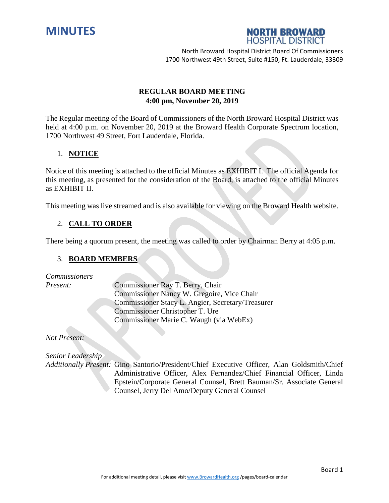



# **REGULAR BOARD MEETING 4:00 pm, November 20, 2019**

The Regular meeting of the Board of Commissioners of the North Broward Hospital District was held at 4:00 p.m. on November 20, 2019 at the Broward Health Corporate Spectrum location, 1700 Northwest 49 Street, Fort Lauderdale, Florida.

### 1. **NOTICE**

Notice of this meeting is attached to the official Minutes as EXHIBIT I. The official Agenda for this meeting, as presented for the consideration of the Board, is attached to the official Minutes as EXHIBIT II.

This meeting was live streamed and is also available for viewing on the Broward Health website.

# 2. **CALL TO ORDER**

There being a quorum present, the meeting was called to order by Chairman Berry at 4:05 p.m.

### 3. **BOARD MEMBERS**

*Commissioners*

*Present:* Commissioner Ray T. Berry, Chair Commissioner Nancy W. Gregoire, Vice Chair Commissioner Stacy L. Angier, Secretary/Treasurer Commissioner Christopher T. Ure Commissioner Marie C. Waugh (via WebEx)

*Not Present:*

*Senior Leadership Additionally Present:* Gino Santorio/President/Chief Executive Officer, Alan Goldsmith/Chief Administrative Officer, Alex Fernandez/Chief Financial Officer, Linda Epstein/Corporate General Counsel, Brett Bauman/Sr. Associate General Counsel, Jerry Del Amo/Deputy General Counsel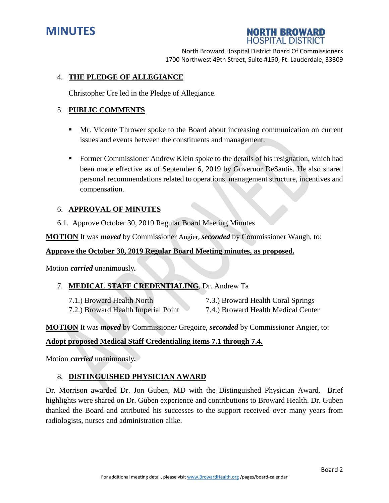



### 4. **THE PLEDGE OF ALLEGIANCE**

Christopher Ure led in the Pledge of Allegiance.

### 5. **PUBLIC COMMENTS**

- Mr. Vicente Thrower spoke to the Board about increasing communication on current issues and events between the constituents and management.
- Former Commissioner Andrew Klein spoke to the details of his resignation, which had been made effective as of September 6, 2019 by Governor DeSantis. He also shared personal recommendations related to operations, management structure, incentives and compensation.

### 6. **APPROVAL OF MINUTES**

6.1. Approve October 30, 2019 Regular Board Meeting Minutes

**MOTION** It was *moved* by Commissioner Angier, *seconded* by Commissioner Waugh, to:

### **Approve the October 30, 2019 Regular Board Meeting minutes, as proposed.**

Motion *carried* unanimously*.*

- 7. **MEDICAL STAFF CREDENTIALING**, Dr. Andrew Ta
	-
	- 7.1.) Broward Health North 7.3.) Broward Health Coral Springs
	- 7.2.) Broward Health Imperial Point 7.4.) Broward Health Medical Center

**MOTION** It was *moved* by Commissioner Gregoire, *seconded* by Commissioner Angier, to:

#### **Adopt proposed Medical Staff Credentialing items 7.1 through 7.4.**

Motion *carried* unanimously*.*

#### 8. **DISTINGUISHED PHYSICIAN AWARD**

Dr. Morrison awarded Dr. Jon Guben, MD with the Distinguished Physician Award. Brief highlights were shared on Dr. Guben experience and contributions to Broward Health. Dr. Guben thanked the Board and attributed his successes to the support received over many years from radiologists, nurses and administration alike.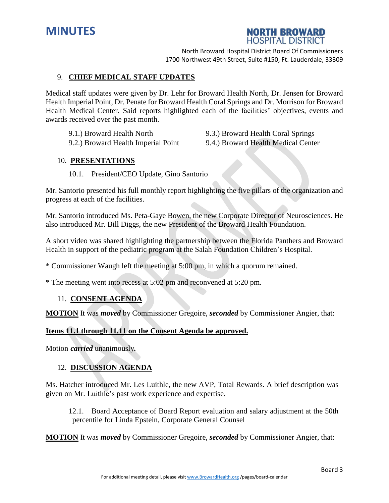



#### 9. **CHIEF MEDICAL STAFF UPDATES**

Medical staff updates were given by Dr. Lehr for Broward Health North, Dr. Jensen for Broward Health Imperial Point, Dr. Penate for Broward Health Coral Springs and Dr. Morrison for Broward Health Medical Center. Said reports highlighted each of the facilities' objectives, events and awards received over the past month.

9.1.) Broward Health North 9.3.) Broward Health Coral Springs 9.2.) Broward Health Imperial Point 9.4.) Broward Health Medical Center

#### 10. **PRESENTATIONS**

10.1. President/CEO Update, Gino Santorio

Mr. Santorio presented his full monthly report highlighting the five pillars of the organization and progress at each of the facilities.

Mr. Santorio introduced Ms. Peta-Gaye Bowen, the new Corporate Director of Neurosciences. He also introduced Mr. Bill Diggs, the new President of the Broward Health Foundation.

A short video was shared highlighting the partnership between the Florida Panthers and Broward Health in support of the pediatric program at the Salah Foundation Children's Hospital.

\* Commissioner Waugh left the meeting at 5:00 pm, in which a quorum remained.

\* The meeting went into recess at 5:02 pm and reconvened at 5:20 pm.

#### 11. **CONSENT AGENDA**

**MOTION** It was *moved* by Commissioner Gregoire, *seconded* by Commissioner Angier, that:

#### **Items 11.1 through 11.11 on the Consent Agenda be approved.**

Motion *carried* unanimously*.*

### 12. **DISCUSSION AGENDA**

Ms. Hatcher introduced Mr. Les Luithle, the new AVP, Total Rewards. A brief description was given on Mr. Luithle's past work experience and expertise.

12.1. Board Acceptance of Board Report evaluation and salary adjustment at the 50th percentile for Linda Epstein, Corporate General Counsel

**MOTION** It was *moved* by Commissioner Gregoire, *seconded* by Commissioner Angier, that: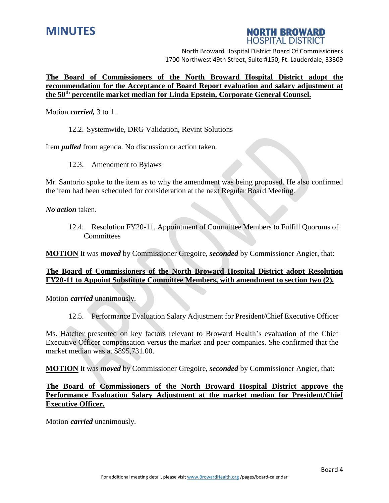



**The Board of Commissioners of the North Broward Hospital District adopt the recommendation for the Acceptance of Board Report evaluation and salary adjustment at the 50th percentile market median for Linda Epstein, Corporate General Counsel.**

Motion *carried,* 3 to 1.

12.2. Systemwide, DRG Validation, Revint Solutions

Item *pulled* from agenda. No discussion or action taken.

12.3. Amendment to Bylaws

Mr. Santorio spoke to the item as to why the amendment was being proposed. He also confirmed the item had been scheduled for consideration at the next Regular Board Meeting.

*No action* taken.

12.4. Resolution FY20-11, Appointment of Committee Members to Fulfill Quorums of **Committees** 

**MOTION** It was *moved* by Commissioner Gregoire, *seconded* by Commissioner Angier, that:

### **The Board of Commissioners of the North Broward Hospital District adopt Resolution FY20-11 to Appoint Substitute Committee Members, with amendment to section two (2).**

Motion *carried* unanimously.

12.5. Performance Evaluation Salary Adjustment for President/Chief Executive Officer

Ms. Hatcher presented on key factors relevant to Broward Health's evaluation of the Chief Executive Officer compensation versus the market and peer companies. She confirmed that the market median was at \$895,731.00.

**MOTION** It was *moved* by Commissioner Gregoire, *seconded* by Commissioner Angier, that:

### **The Board of Commissioners of the North Broward Hospital District approve the Performance Evaluation Salary Adjustment at the market median for President/Chief Executive Officer.**

Motion *carried* unanimously.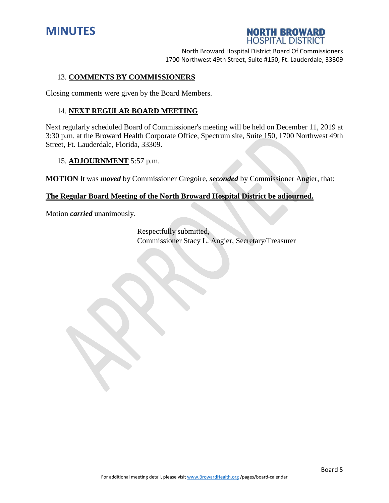



#### 13. **COMMENTS BY COMMISSIONERS**

Closing comments were given by the Board Members.

#### 14. **NEXT REGULAR BOARD MEETING**

Next regularly scheduled Board of Commissioner's meeting will be held on December 11, 2019 at 3:30 p.m. at the Broward Health Corporate Office, Spectrum site, Suite 150, 1700 Northwest 49th Street, Ft. Lauderdale, Florida, 33309.

#### 15. **ADJOURNMENT** 5:57 p.m.

**MOTION** It was *moved* by Commissioner Gregoire, *seconded* by Commissioner Angier, that:

# **The Regular Board Meeting of the North Broward Hospital District be adjourned.**

Motion *carried* unanimously.

Respectfully submitted, Commissioner Stacy L. Angier, Secretary/Treasurer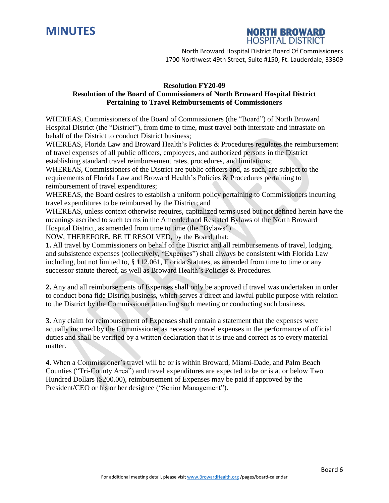



#### **Resolution FY20-09**

## **Resolution of the Board of Commissioners of North Broward Hospital District Pertaining to Travel Reimbursements of Commissioners**

WHEREAS, Commissioners of the Board of Commissioners (the "Board") of North Broward Hospital District (the "District"), from time to time, must travel both interstate and intrastate on behalf of the District to conduct District business;

WHEREAS, Florida Law and Broward Health's Policies & Procedures regulates the reimbursement of travel expenses of all public officers, employees, and authorized persons in the District establishing standard travel reimbursement rates, procedures, and limitations;

WHEREAS, Commissioners of the District are public officers and, as such, are subject to the requirements of Florida Law and Broward Health's Policies & Procedures pertaining to reimbursement of travel expenditures;

WHEREAS, the Board desires to establish a uniform policy pertaining to Commissioners incurring travel expenditures to be reimbursed by the District; and

WHEREAS, unless context otherwise requires, capitalized terms used but not defined herein have the meanings ascribed to such terms in the Amended and Restated Bylaws of the North Broward Hospital District, as amended from time to time (the "Bylaws").

NOW, THEREFORE, BE IT RESOLVED, by the Board, that:

**1.** All travel by Commissioners on behalf of the District and all reimbursements of travel, lodging, and subsistence expenses (collectively, "Expenses") shall always be consistent with Florida Law including, but not limited to, § 112.061, Florida Statutes, as amended from time to time or any successor statute thereof, as well as Broward Health's Policies & Procedures.

**2.** Any and all reimbursements of Expenses shall only be approved if travel was undertaken in order to conduct bona fide District business, which serves a direct and lawful public purpose with relation to the District by the Commissioner attending such meeting or conducting such business.

**3.** Any claim for reimbursement of Expenses shall contain a statement that the expenses were actually incurred by the Commissioner as necessary travel expenses in the performance of official duties and shall be verified by a written declaration that it is true and correct as to every material matter.

**4.** When a Commissioner's travel will be or is within Broward, Miami-Dade, and Palm Beach Counties ("Tri-County Area") and travel expenditures are expected to be or is at or below Two Hundred Dollars (\$200.00), reimbursement of Expenses may be paid if approved by the President/CEO or his or her designee ("Senior Management").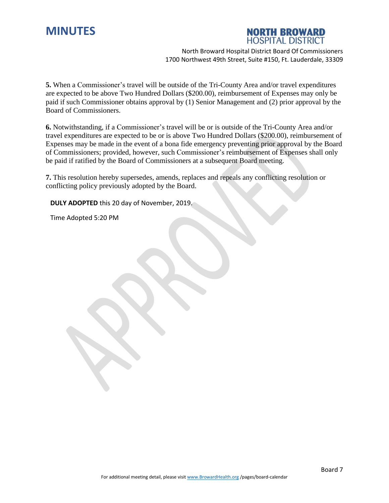



**5.** When a Commissioner's travel will be outside of the Tri-County Area and/or travel expenditures are expected to be above Two Hundred Dollars (\$200.00), reimbursement of Expenses may only be paid if such Commissioner obtains approval by (1) Senior Management and (2) prior approval by the Board of Commissioners.

**6.** Notwithstanding, if a Commissioner's travel will be or is outside of the Tri-County Area and/or travel expenditures are expected to be or is above Two Hundred Dollars (\$200.00), reimbursement of Expenses may be made in the event of a bona fide emergency preventing prior approval by the Board of Commissioners; provided, however, such Commissioner's reimbursement of Expenses shall only be paid if ratified by the Board of Commissioners at a subsequent Board meeting.

**7.** This resolution hereby supersedes, amends, replaces and repeals any conflicting resolution or conflicting policy previously adopted by the Board.

**DULY ADOPTED** this 20 day of November, 2019.

Time Adopted 5:20 PM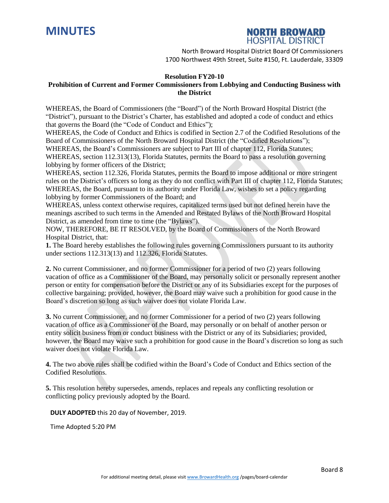



#### **Resolution FY20-10 Prohibition of Current and Former Commissioners from Lobbying and Conducting Business with the District**

WHEREAS, the Board of Commissioners (the "Board") of the North Broward Hospital District (the "District"), pursuant to the District's Charter, has established and adopted a code of conduct and ethics that governs the Board (the "Code of Conduct and Ethics");

WHEREAS, the Code of Conduct and Ethics is codified in Section 2.7 of the Codified Resolutions of the Board of Commissioners of the North Broward Hospital District (the "Codified Resolutions"); WHEREAS, the Board's Commissioners are subject to Part III of chapter 112, Florida Statutes; WHEREAS, section 112.313(13), Florida Statutes, permits the Board to pass a resolution governing lobbying by former officers of the District;

WHEREAS, section 112.326, Florida Statutes, permits the Board to impose additional or more stringent rules on the District's officers so long as they do not conflict with Part III of chapter 112, Florida Statutes; WHEREAS, the Board, pursuant to its authority under Florida Law, wishes to set a policy regarding lobbying by former Commissioners of the Board; and

WHEREAS, unless context otherwise requires, capitalized terms used but not defined herein have the meanings ascribed to such terms in the Amended and Restated Bylaws of the North Broward Hospital District, as amended from time to time (the "Bylaws").

NOW, THEREFORE, BE IT RESOLVED, by the Board of Commissioners of the North Broward Hospital District, that:

**1.** The Board hereby establishes the following rules governing Commissioners pursuant to its authority under sections 112.313(13) and 112.326, Florida Statutes.

**2.** No current Commissioner, and no former Commissioner for a period of two (2) years following vacation of office as a Commissioner of the Board, may personally solicit or personally represent another person or entity for compensation before the District or any of its Subsidiaries except for the purposes of collective bargaining; provided, however, the Board may waive such a prohibition for good cause in the Board's discretion so long as such waiver does not violate Florida Law.

**3.** No current Commissioner, and no former Commissioner for a period of two (2) years following vacation of office as a Commissioner of the Board, may personally or on behalf of another person or entity solicit business from or conduct business with the District or any of its Subsidiaries; provided, however, the Board may waive such a prohibition for good cause in the Board's discretion so long as such waiver does not violate Florida Law.

**4.** The two above rules shall be codified within the Board's Code of Conduct and Ethics section of the Codified Resolutions.

**5.** This resolution hereby supersedes, amends, replaces and repeals any conflicting resolution or conflicting policy previously adopted by the Board.

**DULY ADOPTED** this 20 day of November, 2019.

Time Adopted 5:20 PM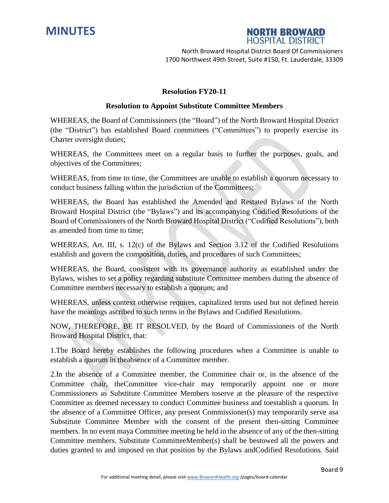



### **Resolution FY20-11**

#### **Resolution to Appoint Substitute Committee Members**

WHEREAS, the Board of Commissioners (the "Board") of the North Broward Hospital District (the "District") has established Board committees ("Committees") to properly exercise its Charter oversight duties;

WHEREAS, the Committees meet on a regular basis to further the purposes, goals, and objectives of the Committees;

WHEREAS, from time to time, the Committees are unable to establish a quorum necessary to conduct business falling within the jurisdiction of the Committees;

WHEREAS, the Board has established the Amended and Restated Bylaws of the North Broward Hospital District (the "Bylaws") and its accompanying Codified Resolutions of the Board of Commissioners of the North Broward Hospital District ("Codified Resolutions"), both as amended from time to time;

WHEREAS, Art. III, s. 12(c) of the Bylaws and Section 3.12 of the Codified Resolutions establish and govern the composition, duties, and procedures of such Committees;

WHEREAS, the Board, consistent with its governance authority as established under the Bylaws, wishes to set a policy regarding substitute Committee members during the absence of Committee members necessary to establish a quorum; and

WHEREAS, unless context otherwise requires, capitalized terms used but not defined herein have the meanings ascribed to such terms in the Bylaws and Codified Resolutions.

NOW, THEREFORE, BE IT RESOLVED, by the Board of Commissioners of the North Broward Hospital District, that:

1.The Board hereby establishes the following procedures when a Committee is unable to establish a quorum in theabsence of a Committee member.

2.In the absence of a Committee member, the Committee chair or, in the absence of the Committee chair, theCommittee vice-chair may temporarily appoint one or more Commissioners as Substitute Committee Members toserve at the pleasure of the respective Committee as deemed necessary to conduct Committee business and toestablish a quorum. In the absence of a Committee Officer, any present Commissioner(s) may temporarily serve asa Substitute Committee Member with the consent of the present then-sitting Committee members. In no event maya Committee meeting be held in the absence of any of the then-sitting Committee members. Substitute CommitteeMember(s) shall be bestowed all the powers and duties granted to and imposed on that position by the Bylaws andCodified Resolutions. Said